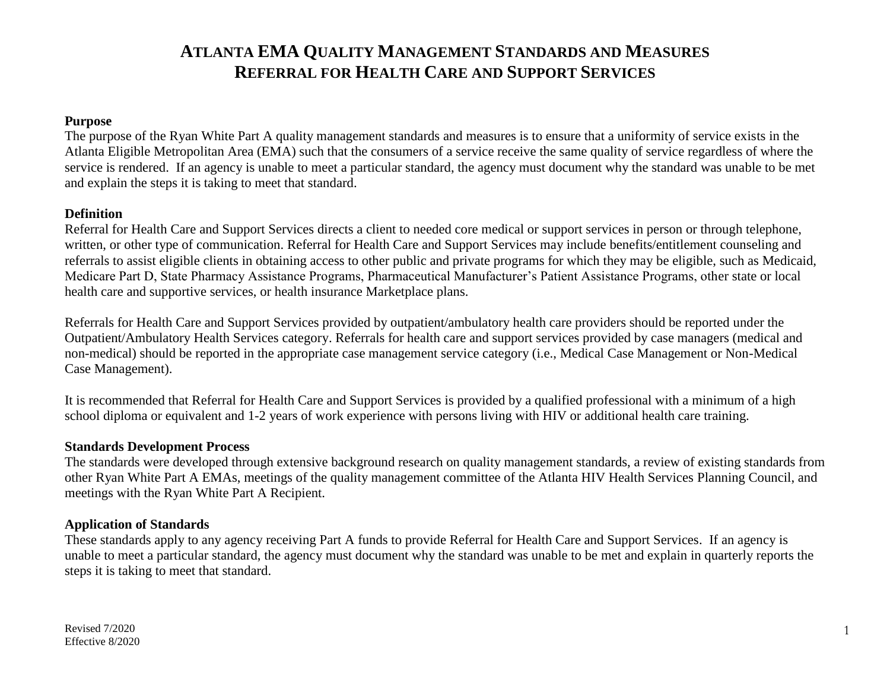### **Purpose**

The purpose of the Ryan White Part A quality management standards and measures is to ensure that a uniformity of service exists in the Atlanta Eligible Metropolitan Area (EMA) such that the consumers of a service receive the same quality of service regardless of where the service is rendered. If an agency is unable to meet a particular standard, the agency must document why the standard was unable to be met and explain the steps it is taking to meet that standard.

#### **Definition**

Referral for Health Care and Support Services directs a client to needed core medical or support services in person or through telephone, written, or other type of communication. Referral for Health Care and Support Services may include benefits/entitlement counseling and referrals to assist eligible clients in obtaining access to other public and private programs for which they may be eligible, such as Medicaid, Medicare Part D, State Pharmacy Assistance Programs, Pharmaceutical Manufacturer's Patient Assistance Programs, other state or local health care and supportive services, or health insurance Marketplace plans.

Referrals for Health Care and Support Services provided by outpatient/ambulatory health care providers should be reported under the Outpatient/Ambulatory Health Services category. Referrals for health care and support services provided by case managers (medical and non-medical) should be reported in the appropriate case management service category (i.e., Medical Case Management or Non-Medical Case Management).

It is recommended that Referral for Health Care and Support Services is provided by a qualified professional with a minimum of a high school diploma or equivalent and 1-2 years of work experience with persons living with HIV or additional health care training.

#### **Standards Development Process**

The standards were developed through extensive background research on quality management standards, a review of existing standards from other Ryan White Part A EMAs, meetings of the quality management committee of the Atlanta HIV Health Services Planning Council, and meetings with the Ryan White Part A Recipient.

#### **Application of Standards**

These standards apply to any agency receiving Part A funds to provide Referral for Health Care and Support Services. If an agency is unable to meet a particular standard, the agency must document why the standard was unable to be met and explain in quarterly reports the steps it is taking to meet that standard.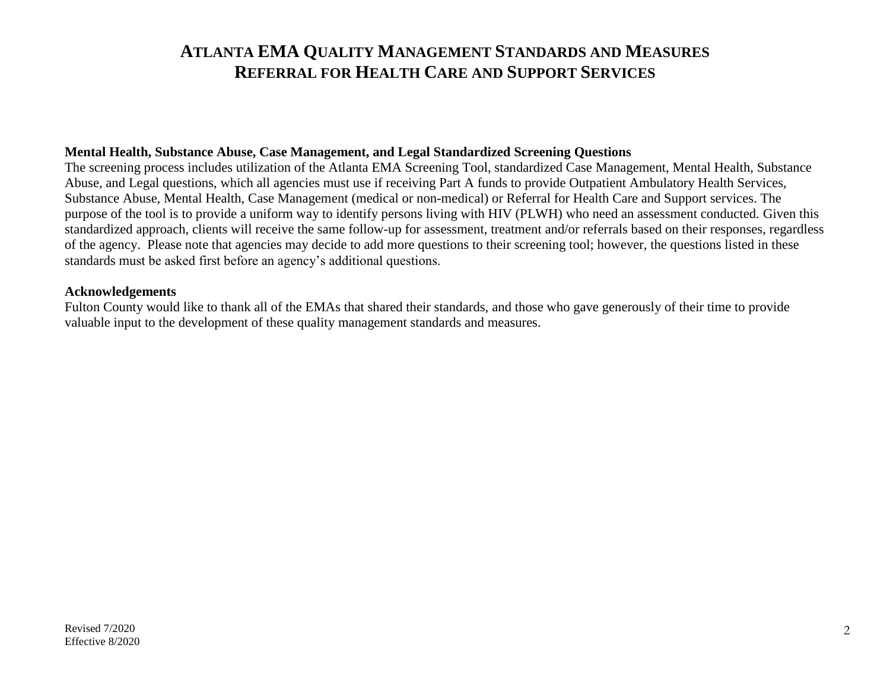#### **Mental Health, Substance Abuse, Case Management, and Legal Standardized Screening Questions**

The screening process includes utilization of the Atlanta EMA Screening Tool, standardized Case Management, Mental Health, Substance Abuse, and Legal questions, which all agencies must use if receiving Part A funds to provide Outpatient Ambulatory Health Services, Substance Abuse, Mental Health, Case Management (medical or non-medical) or Referral for Health Care and Support services. The purpose of the tool is to provide a uniform way to identify persons living with HIV (PLWH) who need an assessment conducted. Given this standardized approach, clients will receive the same follow-up for assessment, treatment and/or referrals based on their responses, regardless of the agency. Please note that agencies may decide to add more questions to their screening tool; however, the questions listed in these standards must be asked first before an agency's additional questions.

#### **Acknowledgements**

Fulton County would like to thank all of the EMAs that shared their standards, and those who gave generously of their time to provide valuable input to the development of these quality management standards and measures.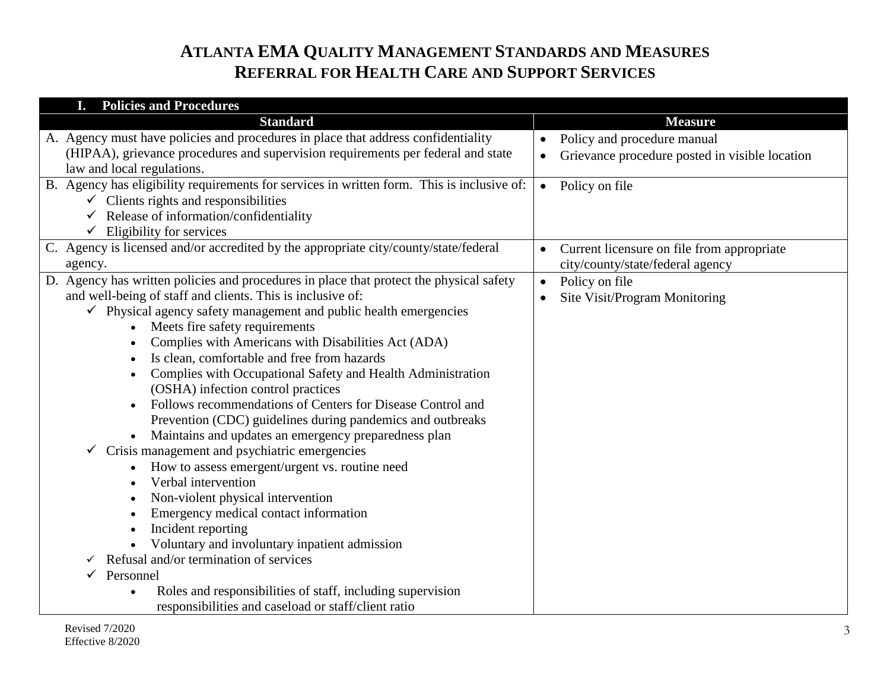| <b>Policies and Procedures</b>                                                                                 |                                                             |
|----------------------------------------------------------------------------------------------------------------|-------------------------------------------------------------|
| <b>Standard</b>                                                                                                | <b>Measure</b>                                              |
| A. Agency must have policies and procedures in place that address confidentiality                              | Policy and procedure manual<br>$\bullet$                    |
| (HIPAA), grievance procedures and supervision requirements per federal and state<br>law and local regulations. | Grievance procedure posted in visible location<br>$\bullet$ |
| B. Agency has eligibility requirements for services in written form. This is inclusive of:                     |                                                             |
| $\checkmark$ Clients rights and responsibilities                                                               | • Policy on file                                            |
| Release of information/confidentiality                                                                         |                                                             |
| $\checkmark$ Eligibility for services                                                                          |                                                             |
| C. Agency is licensed and/or accredited by the appropriate city/county/state/federal                           | Current licensure on file from appropriate<br>$\bullet$     |
| agency.                                                                                                        | city/county/state/federal agency                            |
| D. Agency has written policies and procedures in place that protect the physical safety                        | Policy on file<br>$\bullet$                                 |
| and well-being of staff and clients. This is inclusive of:                                                     | Site Visit/Program Monitoring<br>$\bullet$                  |
| $\checkmark$ Physical agency safety management and public health emergencies                                   |                                                             |
| Meets fire safety requirements                                                                                 |                                                             |
| Complies with Americans with Disabilities Act (ADA)                                                            |                                                             |
| Is clean, comfortable and free from hazards                                                                    |                                                             |
| Complies with Occupational Safety and Health Administration                                                    |                                                             |
| (OSHA) infection control practices                                                                             |                                                             |
| Follows recommendations of Centers for Disease Control and                                                     |                                                             |
| Prevention (CDC) guidelines during pandemics and outbreaks                                                     |                                                             |
| Maintains and updates an emergency preparedness plan                                                           |                                                             |
| Crisis management and psychiatric emergencies                                                                  |                                                             |
| How to assess emergent/urgent vs. routine need<br>Verbal intervention                                          |                                                             |
| Non-violent physical intervention                                                                              |                                                             |
| Emergency medical contact information                                                                          |                                                             |
| Incident reporting                                                                                             |                                                             |
| Voluntary and involuntary inpatient admission                                                                  |                                                             |
| Refusal and/or termination of services                                                                         |                                                             |
| Personnel                                                                                                      |                                                             |
| Roles and responsibilities of staff, including supervision                                                     |                                                             |
| responsibilities and caseload or staff/client ratio                                                            |                                                             |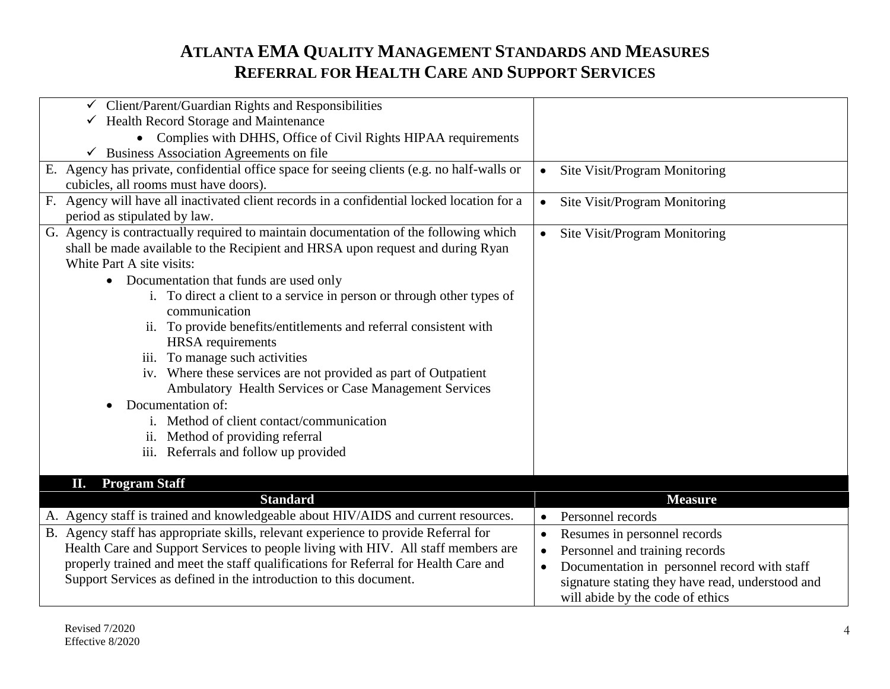| $\checkmark$ Client/Parent/Guardian Rights and Responsibilities                            |                                                           |
|--------------------------------------------------------------------------------------------|-----------------------------------------------------------|
| $\checkmark$ Health Record Storage and Maintenance                                         |                                                           |
| • Complies with DHHS, Office of Civil Rights HIPAA requirements                            |                                                           |
| $\checkmark$ Business Association Agreements on file                                       |                                                           |
| E. Agency has private, confidential office space for seeing clients (e.g. no half-walls or | Site Visit/Program Monitoring                             |
| cubicles, all rooms must have doors).                                                      |                                                           |
| F. Agency will have all inactivated client records in a confidential locked location for a | Site Visit/Program Monitoring<br>$\bullet$                |
| period as stipulated by law.                                                               |                                                           |
| G. Agency is contractually required to maintain documentation of the following which       | Site Visit/Program Monitoring<br>$\bullet$                |
| shall be made available to the Recipient and HRSA upon request and during Ryan             |                                                           |
| White Part A site visits:                                                                  |                                                           |
| Documentation that funds are used only<br>$\bullet$                                        |                                                           |
| i. To direct a client to a service in person or through other types of                     |                                                           |
| communication                                                                              |                                                           |
| ii. To provide benefits/entitlements and referral consistent with                          |                                                           |
| <b>HRSA</b> requirements                                                                   |                                                           |
| iii. To manage such activities                                                             |                                                           |
| iv. Where these services are not provided as part of Outpatient                            |                                                           |
| Ambulatory Health Services or Case Management Services                                     |                                                           |
| Documentation of:                                                                          |                                                           |
| Method of client contact/communication                                                     |                                                           |
| ii. Method of providing referral                                                           |                                                           |
| iii. Referrals and follow up provided                                                      |                                                           |
|                                                                                            |                                                           |
| <b>Program Staff</b><br>П.                                                                 |                                                           |
| <b>Standard</b>                                                                            | <b>Measure</b>                                            |
| A. Agency staff is trained and knowledgeable about HIV/AIDS and current resources.         | Personnel records<br>$\bullet$                            |
| B. Agency staff has appropriate skills, relevant experience to provide Referral for        | Resumes in personnel records<br>$\bullet$                 |
| Health Care and Support Services to people living with HIV. All staff members are          | Personnel and training records<br>$\bullet$               |
| properly trained and meet the staff qualifications for Referral for Health Care and        | Documentation in personnel record with staff<br>$\bullet$ |
| Support Services as defined in the introduction to this document.                          | signature stating they have read, understood and          |
|                                                                                            | will abide by the code of ethics                          |
|                                                                                            |                                                           |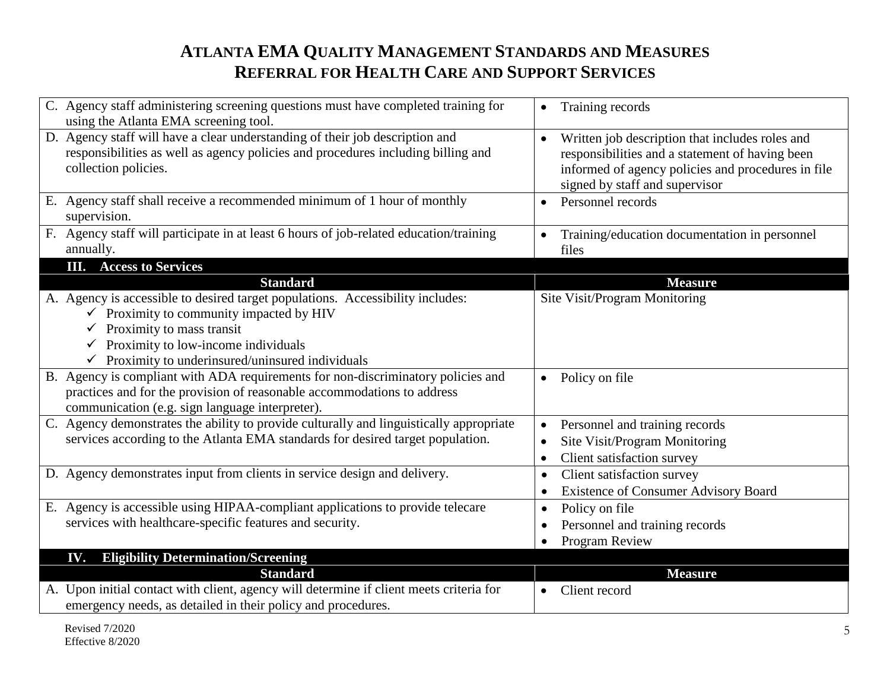| C. Agency staff administering screening questions must have completed training for<br>using the Atlanta EMA screening tool.                                                                                                                                                            | Training records<br>$\bullet$                                                                                                                                                                           |
|----------------------------------------------------------------------------------------------------------------------------------------------------------------------------------------------------------------------------------------------------------------------------------------|---------------------------------------------------------------------------------------------------------------------------------------------------------------------------------------------------------|
| D. Agency staff will have a clear understanding of their job description and<br>responsibilities as well as agency policies and procedures including billing and<br>collection policies.                                                                                               | Written job description that includes roles and<br>$\bullet$<br>responsibilities and a statement of having been<br>informed of agency policies and procedures in file<br>signed by staff and supervisor |
| E. Agency staff shall receive a recommended minimum of 1 hour of monthly<br>supervision.                                                                                                                                                                                               | Personnel records<br>$\bullet$                                                                                                                                                                          |
| F. Agency staff will participate in at least 6 hours of job-related education/training<br>annually.                                                                                                                                                                                    | Training/education documentation in personnel<br>files                                                                                                                                                  |
| <b>III.</b> Access to Services                                                                                                                                                                                                                                                         |                                                                                                                                                                                                         |
| <b>Standard</b>                                                                                                                                                                                                                                                                        | <b>Measure</b>                                                                                                                                                                                          |
| A. Agency is accessible to desired target populations. Accessibility includes:<br>$\checkmark$ Proximity to community impacted by HIV<br>Proximity to mass transit<br>$\checkmark$ Proximity to low-income individuals<br>$\checkmark$ Proximity to underinsured/uninsured individuals | Site Visit/Program Monitoring                                                                                                                                                                           |
| B. Agency is compliant with ADA requirements for non-discriminatory policies and<br>practices and for the provision of reasonable accommodations to address<br>communication (e.g. sign language interpreter).                                                                         | Policy on file<br>$\bullet$                                                                                                                                                                             |
| C. Agency demonstrates the ability to provide culturally and linguistically appropriate<br>services according to the Atlanta EMA standards for desired target population.                                                                                                              | Personnel and training records<br>$\bullet$<br>Site Visit/Program Monitoring<br>$\bullet$<br>Client satisfaction survey<br>$\bullet$                                                                    |
| D. Agency demonstrates input from clients in service design and delivery.                                                                                                                                                                                                              | Client satisfaction survey<br>$\bullet$<br><b>Existence of Consumer Advisory Board</b><br>$\bullet$                                                                                                     |
| E. Agency is accessible using HIPAA-compliant applications to provide telecare                                                                                                                                                                                                         | Policy on file<br>$\bullet$                                                                                                                                                                             |
| services with healthcare-specific features and security.                                                                                                                                                                                                                               | Personnel and training records<br>$\bullet$                                                                                                                                                             |
|                                                                                                                                                                                                                                                                                        | Program Review                                                                                                                                                                                          |
| <b>Eligibility Determination/Screening</b><br>IV.                                                                                                                                                                                                                                      |                                                                                                                                                                                                         |
| <b>Standard</b>                                                                                                                                                                                                                                                                        | <b>Measure</b>                                                                                                                                                                                          |
| A. Upon initial contact with client, agency will determine if client meets criteria for<br>emergency needs, as detailed in their policy and procedures.                                                                                                                                | Client record<br>$\bullet$                                                                                                                                                                              |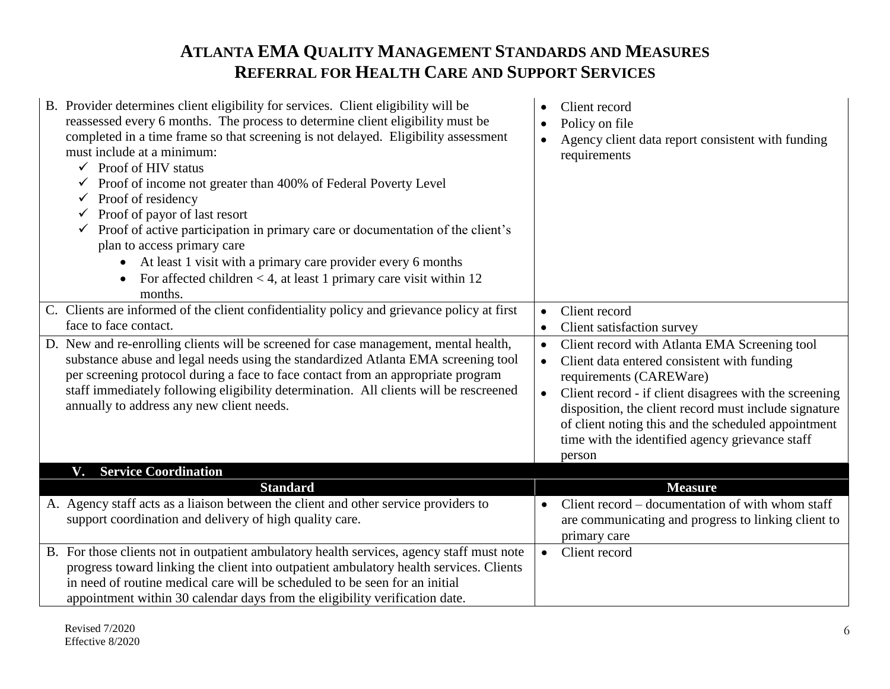| B. Provider determines client eligibility for services. Client eligibility will be<br>reassessed every 6 months. The process to determine client eligibility must be<br>completed in a time frame so that screening is not delayed. Eligibility assessment<br>must include at a minimum:<br>$\checkmark$ Proof of HIV status<br>Proof of income not greater than 400% of Federal Poverty Level<br>✓<br>Proof of residency<br>$\checkmark$<br>Proof of payor of last resort<br>$\checkmark$<br>Proof of active participation in primary care or documentation of the client's<br>$\checkmark$<br>plan to access primary care<br>At least 1 visit with a primary care provider every 6 months<br>$\bullet$<br>For affected children $<$ 4, at least 1 primary care visit within 12<br>$\bullet$<br>months. | Client record<br>$\bullet$<br>Policy on file<br>$\bullet$<br>Agency client data report consistent with funding<br>$\bullet$<br>requirements                                                                                                                                                                                                                                                           |
|----------------------------------------------------------------------------------------------------------------------------------------------------------------------------------------------------------------------------------------------------------------------------------------------------------------------------------------------------------------------------------------------------------------------------------------------------------------------------------------------------------------------------------------------------------------------------------------------------------------------------------------------------------------------------------------------------------------------------------------------------------------------------------------------------------|-------------------------------------------------------------------------------------------------------------------------------------------------------------------------------------------------------------------------------------------------------------------------------------------------------------------------------------------------------------------------------------------------------|
| C. Clients are informed of the client confidentiality policy and grievance policy at first<br>face to face contact.                                                                                                                                                                                                                                                                                                                                                                                                                                                                                                                                                                                                                                                                                      | Client record<br>$\bullet$                                                                                                                                                                                                                                                                                                                                                                            |
|                                                                                                                                                                                                                                                                                                                                                                                                                                                                                                                                                                                                                                                                                                                                                                                                          | Client satisfaction survey<br>$\bullet$                                                                                                                                                                                                                                                                                                                                                               |
| D. New and re-enrolling clients will be screened for case management, mental health,<br>substance abuse and legal needs using the standardized Atlanta EMA screening tool<br>per screening protocol during a face to face contact from an appropriate program<br>staff immediately following eligibility determination. All clients will be rescreened<br>annually to address any new client needs.                                                                                                                                                                                                                                                                                                                                                                                                      | Client record with Atlanta EMA Screening tool<br>$\bullet$<br>Client data entered consistent with funding<br>$\bullet$<br>requirements (CAREWare)<br>Client record - if client disagrees with the screening<br>$\bullet$<br>disposition, the client record must include signature<br>of client noting this and the scheduled appointment<br>time with the identified agency grievance staff<br>person |
| <b>Service Coordination</b><br>V.                                                                                                                                                                                                                                                                                                                                                                                                                                                                                                                                                                                                                                                                                                                                                                        |                                                                                                                                                                                                                                                                                                                                                                                                       |
| <b>Standard</b>                                                                                                                                                                                                                                                                                                                                                                                                                                                                                                                                                                                                                                                                                                                                                                                          | <b>Measure</b>                                                                                                                                                                                                                                                                                                                                                                                        |
| A. Agency staff acts as a liaison between the client and other service providers to<br>support coordination and delivery of high quality care.                                                                                                                                                                                                                                                                                                                                                                                                                                                                                                                                                                                                                                                           | Client record – documentation of with whom staff<br>are communicating and progress to linking client to<br>primary care                                                                                                                                                                                                                                                                               |
| B. For those clients not in outpatient ambulatory health services, agency staff must note<br>progress toward linking the client into outpatient ambulatory health services. Clients<br>in need of routine medical care will be scheduled to be seen for an initial<br>appointment within 30 calendar days from the eligibility verification date.                                                                                                                                                                                                                                                                                                                                                                                                                                                        | Client record                                                                                                                                                                                                                                                                                                                                                                                         |